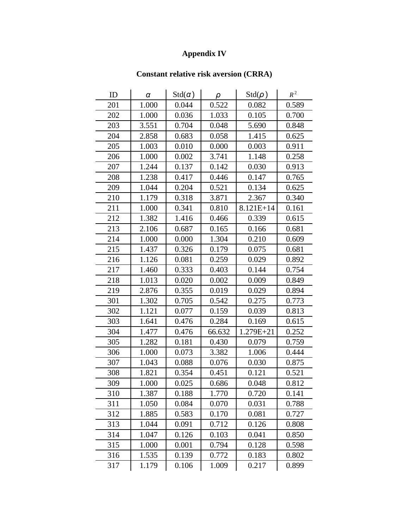## **Appendix IV**

## **Constant relative risk aversion (CRRA)**

| ID  | α     | $Std(\alpha)$ | ρ      | $Std(\rho)$ | $R^2$ |
|-----|-------|---------------|--------|-------------|-------|
| 201 | 1.000 | 0.044         | 0.522  | 0.082       | 0.589 |
| 202 | 1.000 | 0.036         | 1.033  | 0.105       | 0.700 |
| 203 | 3.551 | 0.704         | 0.048  | 5.690       | 0.848 |
| 204 | 2.858 | 0.683         | 0.058  | 1.415       | 0.625 |
| 205 | 1.003 | 0.010         | 0.000  | 0.003       | 0.911 |
| 206 | 1.000 | 0.002         | 3.741  | 1.148       | 0.258 |
| 207 | 1.244 | 0.137         | 0.142  | 0.030       | 0.913 |
| 208 | 1.238 | 0.417         | 0.446  | 0.147       | 0.765 |
| 209 | 1.044 | 0.204         | 0.521  | 0.134       | 0.625 |
| 210 | 1.179 | 0.318         | 3.871  | 2.367       | 0.340 |
| 211 | 1.000 | 0.341         | 0.810  | $8.121E+14$ | 0.161 |
| 212 | 1.382 | 1.416         | 0.466  | 0.339       | 0.615 |
| 213 | 2.106 | 0.687         | 0.165  | 0.166       | 0.681 |
| 214 | 1.000 | 0.000         | 1.304  | 0.210       | 0.609 |
| 215 | 1.437 | 0.326         | 0.179  | 0.075       | 0.681 |
| 216 | 1.126 | 0.081         | 0.259  | 0.029       | 0.892 |
| 217 | 1.460 | 0.333         | 0.403  | 0.144       | 0.754 |
| 218 | 1.013 | 0.020         | 0.002  | 0.009       | 0.849 |
| 219 | 2.876 | 0.355         | 0.019  | 0.029       | 0.894 |
| 301 | 1.302 | 0.705         | 0.542  | 0.275       | 0.773 |
| 302 | 1.121 | 0.077         | 0.159  | 0.039       | 0.813 |
| 303 | 1.641 | 0.476         | 0.284  | 0.169       | 0.615 |
| 304 | 1.477 | 0.476         | 66.632 | 1.279E+21   | 0.252 |
| 305 | 1.282 | 0.181         | 0.430  | 0.079       | 0.759 |
| 306 | 1.000 | 0.073         | 3.382  | 1.006       | 0.444 |
| 307 | 1.043 | 0.088         | 0.076  | 0.030       | 0.875 |
| 308 | 1.821 | 0.354         | 0.451  | 0.121       | 0.521 |
| 309 | 1.000 | 0.025         | 0.686  | 0.048       | 0.812 |
| 310 | 1.387 | 0.188         | 1.770  | 0.720       | 0.141 |
| 311 | 1.050 | 0.084         | 0.070  | 0.031       | 0.788 |
| 312 | 1.885 | 0.583         | 0.170  | 0.081       | 0.727 |
| 313 | 1.044 | 0.091         | 0.712  | 0.126       | 0.808 |
| 314 | 1.047 | 0.126         | 0.103  | 0.041       | 0.850 |
| 315 | 1.000 | 0.001         | 0.794  | 0.128       | 0.598 |
| 316 | 1.535 | 0.139         | 0.772  | 0.183       | 0.802 |
| 317 | 1.179 | 0.106         | 1.009  | 0.217       | 0.899 |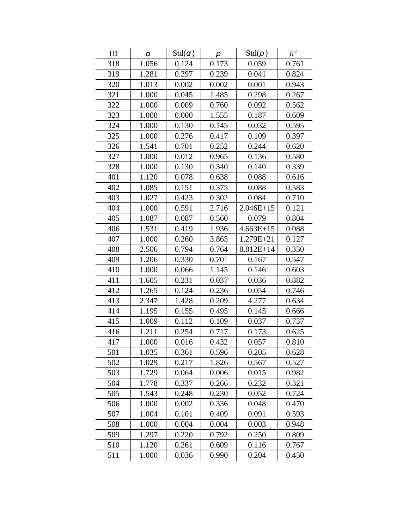| ID  | α     | $Std(\alpha)$ | ρ     | $Std(\rho)$ | $R^2$ |
|-----|-------|---------------|-------|-------------|-------|
| 318 | 1.056 | 0.124         | 0.173 | 0.059       | 0.761 |
| 319 | 1.281 | 0.297         | 0.239 | 0.041       | 0.824 |
| 320 | 1.013 | 0.002         | 0.002 | 0.001       | 0.943 |
| 321 | 1.000 | 0.045         | 1.485 | 0.298       | 0.267 |
| 322 | 1.000 | 0.009         | 0.760 | 0.092       | 0.562 |
| 323 | 1.000 | 0.000         | 1.555 | 0.187       | 0.609 |
| 324 | 1.000 | 0.130         | 0.145 | 0.032       | 0.595 |
| 325 | 1.000 | 0.276         | 0.417 | 0.109       | 0.397 |
| 326 | 1.541 | 0.701         | 0.252 | 0.244       | 0.620 |
| 327 | 1.000 | 0.012         | 0.965 | 0.136       | 0.580 |
| 328 | 1.000 | 0.130         | 0.340 | 0.140       | 0.339 |
| 401 | 1.120 | 0.078         | 0.638 | 0.088       | 0.616 |
| 402 | 1.085 | 0.151         | 0.375 | 0.088       | 0.583 |
| 403 | 1.027 | 0.423         | 0.302 | 0.084       | 0.710 |
| 404 | 1.000 | 0.591         | 2.716 | $2.046E+15$ | 0.121 |
| 405 | 1.087 | 0.087         | 0.560 | 0.079       | 0.804 |
| 406 | 1.531 | 0.419         | 1.936 | $4.663E+15$ | 0.088 |
| 407 | 1.000 | 0.260         | 3.865 | 1.279E+21   | 0.127 |
| 408 | 2.506 | 0.794         | 0.764 | 8.812E+14   | 0.330 |
| 409 | 1.206 | 0.330         | 0.701 | 0.167       | 0.547 |
| 410 | 1.000 | 0.066         | 1.145 | 0.146       | 0.603 |
| 411 | 1.605 | 0.231         | 0.037 | 0.036       | 0.882 |
| 412 | 1.265 | 0.124         | 0.236 | 0.054       | 0.746 |
| 413 | 2.347 | 1.428         | 0.209 | 4.277       | 0.634 |
| 414 | 1.195 | 0.155         | 0.495 | 0.145       | 0.666 |
| 415 | 1.009 | 0.112         | 0.109 | 0.037       | 0.737 |
| 416 | 1.211 | 0.254         | 0.717 | 0.173       | 0.625 |
| 417 | 1.000 | 0.016         | 0.432 | 0.057       | 0.810 |
| 501 | 1.035 | 0.361         | 0.596 | 0.205       | 0.628 |
| 502 | 1.029 | 0.217         | 1.826 | 0.567       | 0.527 |
| 503 | 1.729 | 0.064         | 0.006 | 0.015       | 0.982 |
| 504 | 1.778 | 0.337         | 0.266 | 0.232       | 0.321 |
| 505 | 1.543 | 0.248         | 0.230 | 0.052       | 0.724 |
| 506 | 1.000 | 0.002         | 0.336 | 0.048       | 0.470 |
| 507 | 1.004 | 0.101         | 0.409 | 0.091       | 0.593 |
| 508 | 1.000 | 0.004         | 0.004 | 0.003       | 0.948 |
| 509 | 1.297 | 0.220         | 0.792 | 0.250       | 0.809 |
| 510 | 1.120 | 0.261         | 0.609 | 0.116       | 0.767 |
| 511 | 1.000 | 0.036         | 0.990 | 0.204       | 0.450 |